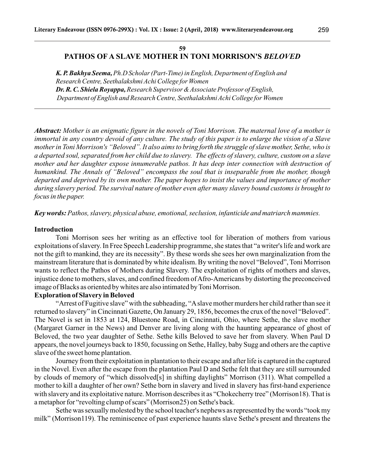### **59 PATHOS OF A SLAVE MOTHER IN TONI MORRISON'S** *BELOVED*

*K. P. Bakhya Seema, Ph.D Scholar (Part-Time) in English, Department of English and Research Centre, Seethalakshmi Achi College for Women Dr. R. C. Shiela Royappa, Research Supervisor & Associate Professor of English, Department of English and Research Centre, Seethalakshmi Achi College for Women*

*Abstract: Mother is an enigmatic figure in the novels of Toni Morrison. The maternal love of a mother is immortal in any country devoid of any culture. The study of this paper is to enlarge the vision of a Slave mother in Toni Morrison's "Beloved". It also aims to bring forth the struggle of slave mother, Sethe, who is a departed soul, separated from her child due to slavery. The effects of slavery, culture, custom on a slave mother and her daughter expose innumerable pathos. It has deep inter connection with destruction of humankind. The Annals of "Beloved" encompass the soul that is inseparable from the mother, though departed and deprived by its own mother. The paper hopes to insist the values and importance of mother during slavery period. The survival nature of mother even after many slavery bound customs is brought to focus in the paper.*

*Key words: Pathos, slavery, physical abuse, emotional, seclusion, infanticide and matriarch mammies.*

#### **Introduction**

Toni Morrison sees her writing as an effective tool for liberation of mothers from various exploitations of slavery. In Free Speech Leadership programme, she states that "a writer's life and work are not the gift to mankind, they are its necessity". By these words she sees her own marginalization from the mainstream literature that is dominated by white idealism. By writing the novel "Beloved", Toni Morrison wants to reflect the Pathos of Mothers during Slavery. The exploitation of rights of mothers and slaves, injustice done to mothers, slaves, and confined freedom of Afro-Americans by distorting the preconceived image of Blacks as oriented by whites are also intimated by Toni Morrison.

### **Exploration of Slavery in Beloved**

"Arrest of Fugitive slave" with the subheading, "Aslave mother murders her child rather than see it returned to slavery" in Cincinnati Gazette, On January 29, 1856, becomes the crux of the novel "Beloved". The Novel is set in 1853 at 124, Bluestone Road, in Cincinnati, Ohio, where Sethe, the slave mother (Margaret Garner in the News) and Denver are living along with the haunting appearance of ghost of Beloved, the two year daughter of Sethe. Sethe kills Beloved to save her from slavery. When Paul D appears, the novel journeys back to 1850, focussing on Sethe, Halley, baby Sugg and others are the captive slave of the sweet home plantation.

Journey from their exploitation in plantation to their escape and after life is captured in the captured in the Novel. Even after the escape from the plantation Paul D and Sethe felt that they are still surrounded by clouds of memory of "which dissolved[s] in shifting daylights" Morrison (311). What compelled a mother to kill a daughter of her own? Sethe born in slavery and lived in slavery has first-hand experience with slavery and its exploitative nature. Morrison describes it as "Chokecherry tree" (Morrison18). That is a metaphor for "revolting clump of scars" (Morrison25) on Sethe's back.

Sethe was sexually molested by the school teacher's nephews as represented by the words "took my milk" (Morrison119). The reminiscence of past experience haunts slave Sethe's present and threatens the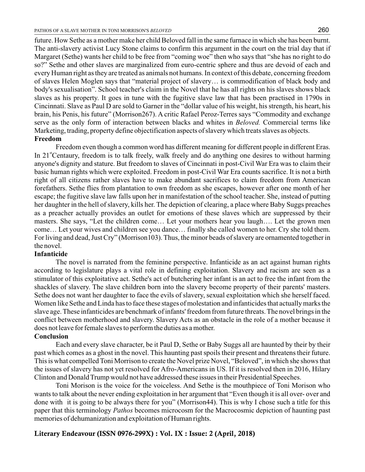future. How Sethe as a mother make her child Beloved fall in the same furnace in which she has been burnt. The anti-slavery activist Lucy Stone claims to confirm this argument in the court on the trial day that if Margaret (Sethe) wants her child to be free from "coming woe" then who says that "she has no right to do so?" Sethe and other slaves are marginalized from euro-centric sphere and thus are devoid of each and every Human right as they are treated as animals not humans. In context of this debate, concerning freedom of slaves Helen Moglen says that "material project of slavery… is commodification of black body and body's sexualisation". School teacher's claim in the Novel that he has all rights on his slaves shows black slaves as his property. It goes in tune with the fugitive slave law that has been practised in 1790s in Cincinnati. Slave as Paul D are sold to Garner in the "dollar value of his weight, his strength, his heart, his brain, his Penis, his future" (Morrison267). A critic Rafael Peroz-Terres says "Commodity and exchange serve as the only form of interaction between blacks and whites in *Beloved.* Commercial terms like Marketing, trading, property define objectification aspects of slavery which treats slaves as objects. **Freedom**

Freedom even though a common word has different meaning for different people in different Eras. In 21<sup>st</sup>Centaury, freedom is to talk freely, walk freely and do anything one desires to without harming anyone's dignity and stature. But freedom to slaves of Cincinnati in post-Civil War Era was to claim their basic human rights which were exploited. Freedom in post-Civil War Era counts sacrifice. It is not a birth right of all citizens rather slaves have to make abundant sacrifices to claim freedom from American forefathers. Sethe flies from plantation to own freedom as she escapes, however after one month of her escape; the fugitive slave law falls upon her in manifestation of the school teacher. She, instead of putting her daughter in the hell of slavery, kills her. The depiction of clearing, a place where Baby Suggs preaches as a preacher actually provides an outlet for emotions of these slaves which are suppressed by their masters. She says, "Let the children come… Let your mothers hear you laugh…. Let the grown men come… Let your wives and children see you dance… finally she called women to her. Cry she told them. For living and dead, Just Cry" (Morrison103). Thus, the minor beads of slavery are ornamented together in the novel.

#### **Infanticide**

The novel is narrated from the feminine perspective. Infanticide as an act against human rights according to legislature plays a vital role in defining exploitation. Slavery and racism are seen as a stimulator of this exploitative act. Sethe's act of butchering her infant is an act to free the infant from the shackles of slavery. The slave children born into the slavery become property of their parents' masters. Sethe does not want her daughter to face the evils of slavery, sexual exploitation which she herself faced. Women like Sethe and Linda has to face these stages of molestation and infanticides that actually marks the slave age. These infanticides are benchmark of infants' freedom from future threats. The novel brings in the conflict between motherhood and slavery. Slavery Acts as an obstacle in the role of a mother because it does not leave for female slaves to perform the duties as a mother.

#### **Conclusion**

Each and every slave character, be it Paul D, Sethe or Baby Suggs all are haunted by their by their past which comes as a ghost in the novel. This haunting past spoils their present and threatens their future. This is what compelled Toni Morrison to create the Novel prize Novel, "Beloved", in which she shows that the issues of slavery has not yet resolved for Afro-Americans in US. If it is resolved then in 2016, Hilary Clinton and Donald Trump would not have addressed these issues in their Presidential Speeches.

Toni Morison is the voice for the voiceless. And Sethe is the mouthpiece of Toni Morison who wants to talk about the never ending exploitation in her argument that "Even though it is all over- over and done with it is going to be always there for you" (Morrison44). This is why I chose such a title for this paper that this terminology *Pathos* becomes microcosm for the Macrocosmic depiction of haunting past memories of dehumanization and exploitation of Human rights.

## **Literary Endeavour (ISSN 0976-299X) : Vol. IX : Issue: 2 (April, 2018)**